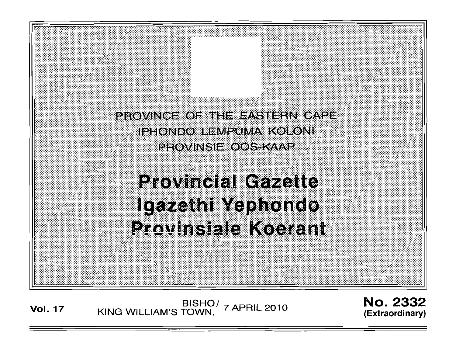PROVINCE OF THE EASTERN CAPE IPHONDO LEMPUMA KOLONI **PROVINSIE OOS KAAP** 

# **Provincial Gazette** Igazethi Yephondo **Provinsiale Koerant**

BISHO/ 7 APRIL 2010<br>KING WILLIAM'S TOWN, 7 APRIL 2010 **Vol. 17** 

**No. 2332** (Extraordinary)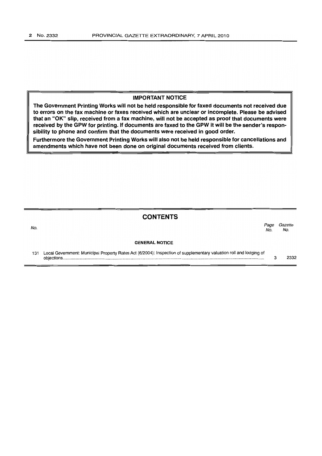#### **IMPORTANT NOTICE**

**The Government Printing Works will not be held responsible for faxed documents not received due to errors on the fax machine or faxes received which are unclear or incomplete. Please be advised that an** "OK" **slip, received from a fax machine, will not be accepted as proof that documents were received by the GPW for printing. If documents are faxed to the GPW it will be the sender's responsibility to phone and confirm that the documents were received in good order.**

**Furthermore the Government Printing Works will also not be held responsible for cancellations and amendments which have not been done on original documents received from clients.**

## **CONTENTS**

| No. |                                                                                                                                  | Page<br>No. | Gazette<br>No. |
|-----|----------------------------------------------------------------------------------------------------------------------------------|-------------|----------------|
|     | <b>GENERAL NOTICE</b>                                                                                                            |             |                |
| 131 | Local Government: Municipal Property Rates Act (6/2004): Inspection of supplementary valuation roll and lodging of<br>objections |             | 2332           |